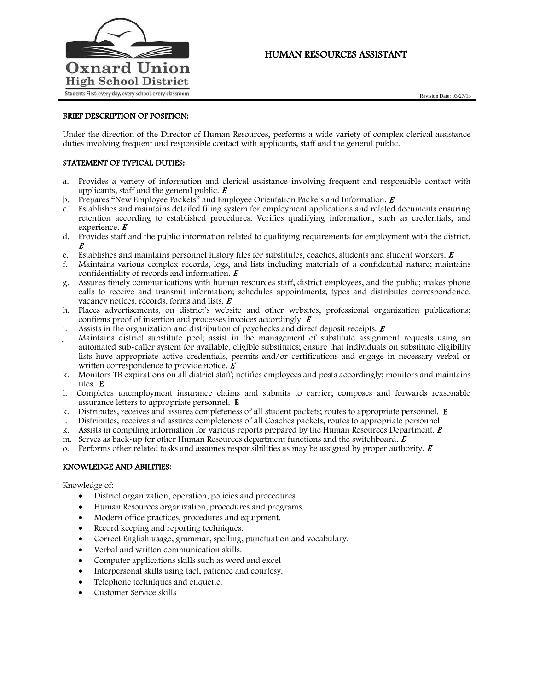

# HUMAN RESOURCES ASSISTANT

# BRIEF DESCRIPTION OF POSITION:

Under the direction of the Director of Human Resources, performs a wide variety of complex clerical assistance duties involving frequent and responsible contact with applicants, staff and the general public.

# STATEMENT OF TYPICAL DUTIES:

- a. Provides a variety of information and clerical assistance involving frequent and responsible contact with applicants, staff and the general public.  $\boldsymbol{E}$
- b. Prepares "New Employee Packets" and Employee Orientation Packets and Information.  $\vec{E}$
- c. Establishes and maintains detailed filing system for employment applications and related documents ensuring retention according to established procedures. Verifies qualifying information, such as credentials, and experience.  $\boldsymbol{E}$
- d. Provides staff and the public information related to qualifying requirements for employment with the district. E
- e. Establishes and maintains personnel history files for substitutes, coaches, students and student workers.  $\bm{E}$
- f. Maintains various complex records, logs, and lists including materials of a confidential nature; maintains confidentiality of records and information.  $\boldsymbol{E}$
- g. Assures timely communications with human resources staff, district employees, and the public; makes phone calls to receive and transmit information; schedules appointments; types and distributes correspondence, vacancy notices, records, forms and lists.  $\boldsymbol{E}$
- h. Places advertisements, on district's website and other websites, professional organization publications; confirms proof of insertion and processes invoices accordingly. <sup>E</sup>
- i. Assists in the organization and distribution of paychecks and direct deposit receipts.  $\vec{E}$
- j. Maintains district substitute pool; assist in the management of substitute assignment requests using an automated sub-caller system for available, eligible substitutes; ensure that individuals on substitute eligibility lists have appropriate active credentials, permits and/or certifications and engage in necessary verbal or written correspondence to provide notice.  $\boldsymbol{E}$
- k. Monitors TB expirations on all district staff; notifies employees and posts accordingly; monitors and maintains files. E
- l. Completes unemployment insurance claims and submits to carrier; composes and forwards reasonable assurance letters to appropriate personnel. E
- k. Distributes, receives and assures completeness of all student packets; routes to appropriate personnel. E
- l. Distributes, receives and assures completeness of all Coaches packets, routes to appropriate personnel
- k. Assists in compiling information for various reports prepared by the Human Resources Department.  $\bm{E}$
- m. Serves as back-up for other Human Resources department functions and the switchboard.  $\boldsymbol{E}$
- o. Performs other related tasks and assumes responsibilities as may be assigned by proper authority.  $\vec{E}$

#### KNOWLEDGE AND ABILITIES:

Knowledge of:

- District organization, operation, policies and procedures.
- Human Resources organization, procedures and programs.
- Modern office practices, procedures and equipment.
- Record keeping and reporting techniques.
- Correct English usage, grammar, spelling, punctuation and vocabulary.
- Verbal and written communication skills.
- Computer applications skills such as word and excel
- Interpersonal skills using tact, patience and courtesy.
- Telephone techniques and etiquette.
- Customer Service skills